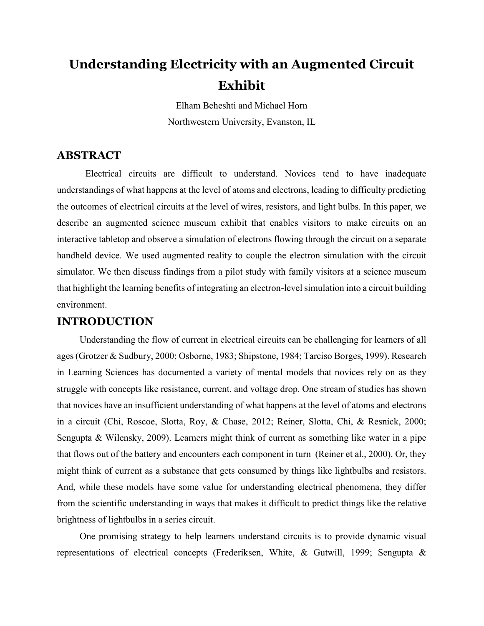# Understanding Electricity with an Augmented Circuit Exhibit

Elham Beheshti and Michael Horn Northwestern University, Evanston, IL

## ABSTRACT

Electrical circuits are difficult to understand. Novices tend to have inadequate understandings of what happens at the level of atoms and electrons, leading to difficulty predicting the outcomes of electrical circuits at the level of wires, resistors, and light bulbs. In this paper, we describe an augmented science museum exhibit that enables visitors to make circuits on an interactive tabletop and observe a simulation of electrons flowing through the circuit on a separate handheld device. We used augmented reality to couple the electron simulation with the circuit simulator. We then discuss findings from a pilot study with family visitors at a science museum that highlight the learning benefits of integrating an electron-level simulation into a circuit building environment.

### INTRODUCTION

Understanding the flow of current in electrical circuits can be challenging for learners of all ages (Grotzer & Sudbury, 2000; Osborne, 1983; Shipstone, 1984; Tarciso Borges, 1999). Research in Learning Sciences has documented a variety of mental models that novices rely on as they struggle with concepts like resistance, current, and voltage drop. One stream of studies has shown that novices have an insufficient understanding of what happens at the level of atoms and electrons in a circuit (Chi, Roscoe, Slotta, Roy, & Chase, 2012; Reiner, Slotta, Chi, & Resnick, 2000; Sengupta & Wilensky, 2009). Learners might think of current as something like water in a pipe that flows out of the battery and encounters each component in turn (Reiner et al., 2000). Or, they might think of current as a substance that gets consumed by things like lightbulbs and resistors. And, while these models have some value for understanding electrical phenomena, they differ from the scientific understanding in ways that makes it difficult to predict things like the relative brightness of lightbulbs in a series circuit.

One promising strategy to help learners understand circuits is to provide dynamic visual representations of electrical concepts (Frederiksen, White, & Gutwill, 1999; Sengupta &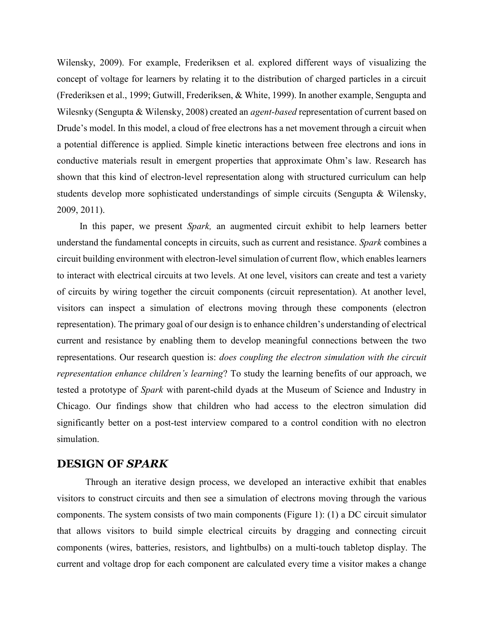Wilensky, 2009). For example, Frederiksen et al. explored different ways of visualizing the concept of voltage for learners by relating it to the distribution of charged particles in a circuit (Frederiksen et al., 1999; Gutwill, Frederiksen, & White, 1999). In another example, Sengupta and Wilesnky (Sengupta & Wilensky, 2008) created an *agent-based* representation of current based on Drude's model. In this model, a cloud of free electrons has a net movement through a circuit when a potential difference is applied. Simple kinetic interactions between free electrons and ions in conductive materials result in emergent properties that approximate Ohm's law. Research has shown that this kind of electron-level representation along with structured curriculum can help students develop more sophisticated understandings of simple circuits (Sengupta & Wilensky, 2009, 2011).

In this paper, we present *Spark*, an augmented circuit exhibit to help learners better understand the fundamental concepts in circuits, such as current and resistance. Spark combines a circuit building environment with electron-level simulation of current flow, which enables learners to interact with electrical circuits at two levels. At one level, visitors can create and test a variety of circuits by wiring together the circuit components (circuit representation). At another level, visitors can inspect a simulation of electrons moving through these components (electron representation). The primary goal of our design is to enhance children's understanding of electrical current and resistance by enabling them to develop meaningful connections between the two representations. Our research question is: does coupling the electron simulation with the circuit representation enhance children's learning? To study the learning benefits of our approach, we tested a prototype of Spark with parent-child dyads at the Museum of Science and Industry in Chicago. Our findings show that children who had access to the electron simulation did significantly better on a post-test interview compared to a control condition with no electron simulation.

#### DESIGN OF SPARK

Through an iterative design process, we developed an interactive exhibit that enables visitors to construct circuits and then see a simulation of electrons moving through the various components. The system consists of two main components (Figure 1): (1) a DC circuit simulator that allows visitors to build simple electrical circuits by dragging and connecting circuit components (wires, batteries, resistors, and lightbulbs) on a multi-touch tabletop display. The current and voltage drop for each component are calculated every time a visitor makes a change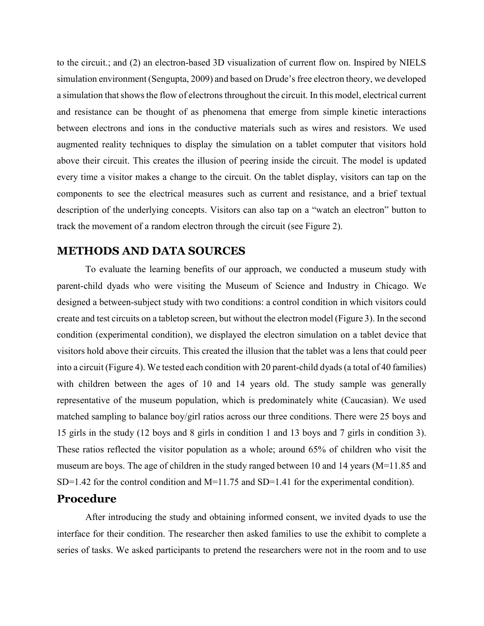to the circuit.; and (2) an electron-based 3D visualization of current flow on. Inspired by NIELS simulation environment (Sengupta, 2009) and based on Drude's free electron theory, we developed a simulation that shows the flow of electrons throughout the circuit. In this model, electrical current and resistance can be thought of as phenomena that emerge from simple kinetic interactions between electrons and ions in the conductive materials such as wires and resistors. We used augmented reality techniques to display the simulation on a tablet computer that visitors hold above their circuit. This creates the illusion of peering inside the circuit. The model is updated every time a visitor makes a change to the circuit. On the tablet display, visitors can tap on the components to see the electrical measures such as current and resistance, and a brief textual description of the underlying concepts. Visitors can also tap on a "watch an electron" button to track the movement of a random electron through the circuit (see Figure 2).

#### METHODS AND DATA SOURCES

To evaluate the learning benefits of our approach, we conducted a museum study with parent-child dyads who were visiting the Museum of Science and Industry in Chicago. We designed a between-subject study with two conditions: a control condition in which visitors could create and test circuits on a tabletop screen, but without the electron model (Figure 3). In the second condition (experimental condition), we displayed the electron simulation on a tablet device that visitors hold above their circuits. This created the illusion that the tablet was a lens that could peer into a circuit (Figure 4). We tested each condition with 20 parent-child dyads (a total of 40 families) with children between the ages of 10 and 14 years old. The study sample was generally representative of the museum population, which is predominately white (Caucasian). We used matched sampling to balance boy/girl ratios across our three conditions. There were 25 boys and 15 girls in the study (12 boys and 8 girls in condition 1 and 13 boys and 7 girls in condition 3). These ratios reflected the visitor population as a whole; around 65% of children who visit the museum are boys. The age of children in the study ranged between 10 and 14 years (M=11.85 and SD=1.42 for the control condition and M=11.75 and SD=1.41 for the experimental condition).

#### Procedure

After introducing the study and obtaining informed consent, we invited dyads to use the interface for their condition. The researcher then asked families to use the exhibit to complete a series of tasks. We asked participants to pretend the researchers were not in the room and to use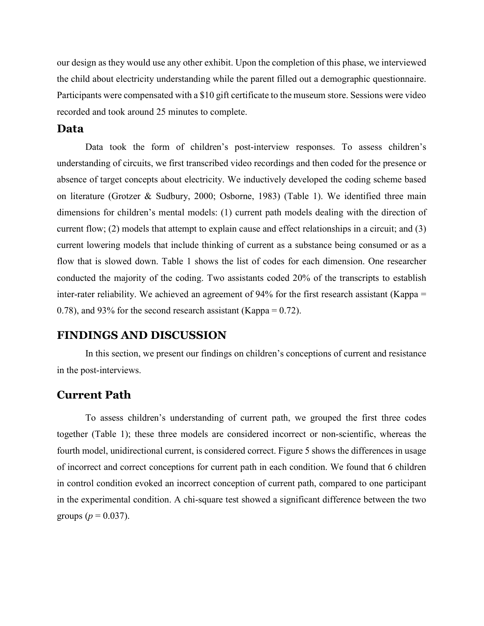our design as they would use any other exhibit. Upon the completion of this phase, we interviewed the child about electricity understanding while the parent filled out a demographic questionnaire. Participants were compensated with a \$10 gift certificate to the museum store. Sessions were video recorded and took around 25 minutes to complete.

#### Data

Data took the form of children's post-interview responses. To assess children's understanding of circuits, we first transcribed video recordings and then coded for the presence or absence of target concepts about electricity. We inductively developed the coding scheme based on literature (Grotzer & Sudbury, 2000; Osborne, 1983) (Table 1). We identified three main dimensions for children's mental models: (1) current path models dealing with the direction of current flow; (2) models that attempt to explain cause and effect relationships in a circuit; and (3) current lowering models that include thinking of current as a substance being consumed or as a flow that is slowed down. Table 1 shows the list of codes for each dimension. One researcher conducted the majority of the coding. Two assistants coded 20% of the transcripts to establish inter-rater reliability. We achieved an agreement of 94% for the first research assistant (Kappa = 0.78), and 93% for the second research assistant (Kappa =  $0.72$ ).

#### FINDINGS AND DISCUSSION

In this section, we present our findings on children's conceptions of current and resistance in the post-interviews.

#### Current Path

To assess children's understanding of current path, we grouped the first three codes together (Table 1); these three models are considered incorrect or non-scientific, whereas the fourth model, unidirectional current, is considered correct. Figure 5 shows the differences in usage of incorrect and correct conceptions for current path in each condition. We found that 6 children in control condition evoked an incorrect conception of current path, compared to one participant in the experimental condition. A chi-square test showed a significant difference between the two groups ( $p = 0.037$ ).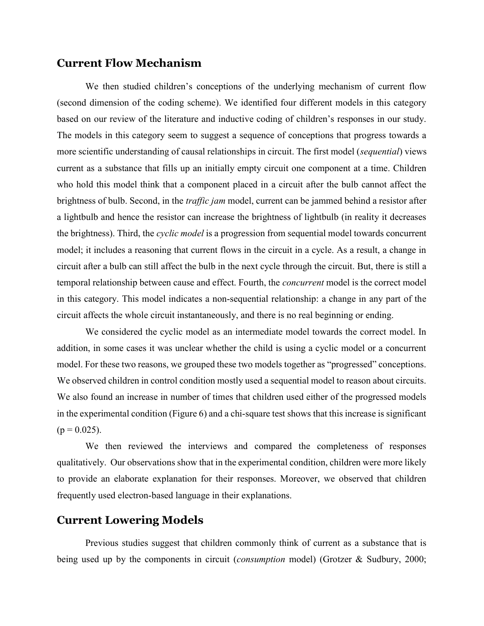### Current Flow Mechanism

We then studied children's conceptions of the underlying mechanism of current flow (second dimension of the coding scheme). We identified four different models in this category based on our review of the literature and inductive coding of children's responses in our study. The models in this category seem to suggest a sequence of conceptions that progress towards a more scientific understanding of causal relationships in circuit. The first model (sequential) views current as a substance that fills up an initially empty circuit one component at a time. Children who hold this model think that a component placed in a circuit after the bulb cannot affect the brightness of bulb. Second, in the *traffic jam* model, current can be jammed behind a resistor after a lightbulb and hence the resistor can increase the brightness of lightbulb (in reality it decreases the brightness). Third, the *cyclic model* is a progression from sequential model towards concurrent model; it includes a reasoning that current flows in the circuit in a cycle. As a result, a change in circuit after a bulb can still affect the bulb in the next cycle through the circuit. But, there is still a temporal relationship between cause and effect. Fourth, the concurrent model is the correct model in this category. This model indicates a non-sequential relationship: a change in any part of the circuit affects the whole circuit instantaneously, and there is no real beginning or ending.

We considered the cyclic model as an intermediate model towards the correct model. In addition, in some cases it was unclear whether the child is using a cyclic model or a concurrent model. For these two reasons, we grouped these two models together as "progressed" conceptions. We observed children in control condition mostly used a sequential model to reason about circuits. We also found an increase in number of times that children used either of the progressed models in the experimental condition (Figure 6) and a chi-square test shows that this increase is significant  $(p = 0.025)$ .

We then reviewed the interviews and compared the completeness of responses qualitatively. Our observations show that in the experimental condition, children were more likely to provide an elaborate explanation for their responses. Moreover, we observed that children frequently used electron-based language in their explanations.

#### Current Lowering Models

Previous studies suggest that children commonly think of current as a substance that is being used up by the components in circuit (*consumption* model) (Grotzer & Sudbury, 2000;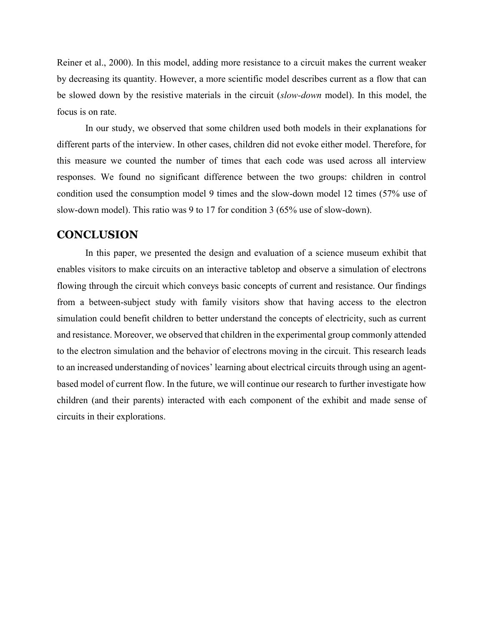Reiner et al., 2000). In this model, adding more resistance to a circuit makes the current weaker by decreasing its quantity. However, a more scientific model describes current as a flow that can be slowed down by the resistive materials in the circuit (slow-down model). In this model, the focus is on rate.

In our study, we observed that some children used both models in their explanations for different parts of the interview. In other cases, children did not evoke either model. Therefore, for this measure we counted the number of times that each code was used across all interview responses. We found no significant difference between the two groups: children in control condition used the consumption model 9 times and the slow-down model 12 times (57% use of slow-down model). This ratio was 9 to 17 for condition 3 (65% use of slow-down).

#### **CONCLUSION**

In this paper, we presented the design and evaluation of a science museum exhibit that enables visitors to make circuits on an interactive tabletop and observe a simulation of electrons flowing through the circuit which conveys basic concepts of current and resistance. Our findings from a between-subject study with family visitors show that having access to the electron simulation could benefit children to better understand the concepts of electricity, such as current and resistance. Moreover, we observed that children in the experimental group commonly attended to the electron simulation and the behavior of electrons moving in the circuit. This research leads to an increased understanding of novices' learning about electrical circuits through using an agentbased model of current flow. In the future, we will continue our research to further investigate how children (and their parents) interacted with each component of the exhibit and made sense of circuits in their explorations.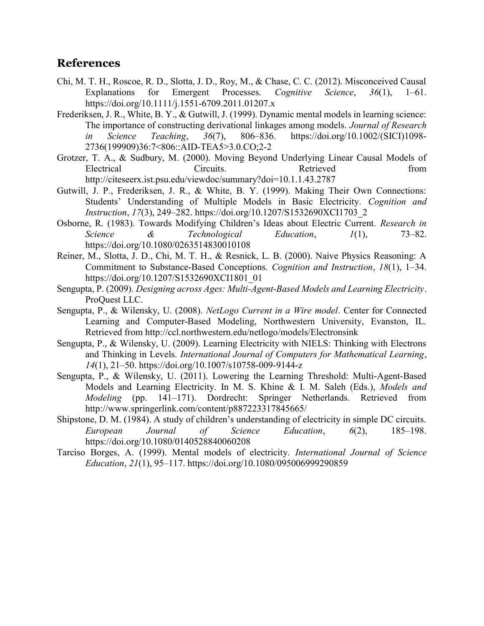## References

- Chi, M. T. H., Roscoe, R. D., Slotta, J. D., Roy, M., & Chase, C. C. (2012). Misconceived Causal Explanations for Emergent Processes. Cognitive Science, 36(1), 1–61. https://doi.org/10.1111/j.1551-6709.2011.01207.x
- Frederiksen, J. R., White, B. Y., & Gutwill, J. (1999). Dynamic mental models in learning science: The importance of constructing derivational linkages among models. Journal of Research in Science Teaching, 36(7), 806–836. https://doi.org/10.1002/(SICI)1098- 2736(199909)36:7<806::AID-TEA5>3.0.CO;2-2
- Grotzer, T. A., & Sudbury, M. (2000). Moving Beyond Underlying Linear Causal Models of Electrical Circuits. Retrieved from http://citeseerx.ist.psu.edu/viewdoc/summary?doi=10.1.1.43.2787
- Gutwill, J. P., Frederiksen, J. R., & White, B. Y. (1999). Making Their Own Connections: Students' Understanding of Multiple Models in Basic Electricity. Cognition and Instruction, 17(3), 249–282. https://doi.org/10.1207/S1532690XCI1703\_2
- Osborne, R. (1983). Towards Modifying Children's Ideas about Electric Current. Research in Science & Technological Education,  $1(1)$ , 73–82. https://doi.org/10.1080/0263514830010108
- Reiner, M., Slotta, J. D., Chi, M. T. H., & Resnick, L. B. (2000). Naive Physics Reasoning: A Commitment to Substance-Based Conceptions. Cognition and Instruction, 18(1), 1–34. https://doi.org/10.1207/S1532690XCI1801\_01
- Sengupta, P. (2009). Designing across Ages: Multi-Agent-Based Models and Learning Electricity. ProQuest LLC.
- Sengupta, P., & Wilensky, U. (2008). NetLogo Current in a Wire model. Center for Connected Learning and Computer-Based Modeling, Northwestern University, Evanston, IL. Retrieved from http://ccl.northwestern.edu/netlogo/models/Electronsink
- Sengupta, P., & Wilensky, U. (2009). Learning Electricity with NIELS: Thinking with Electrons and Thinking in Levels. International Journal of Computers for Mathematical Learning, 14(1), 21–50. https://doi.org/10.1007/s10758-009-9144-z
- Sengupta, P., & Wilensky, U. (2011). Lowering the Learning Threshold: Multi-Agent-Based Models and Learning Electricity. In M. S. Khine & I. M. Saleh (Eds.), Models and Modeling (pp. 141–171). Dordrecht: Springer Netherlands. Retrieved from http://www.springerlink.com/content/p887223317845665/
- Shipstone, D. M. (1984). A study of children's understanding of electricity in simple DC circuits. European Journal of Science Education, 6(2), 185–198. https://doi.org/10.1080/0140528840060208
- Tarciso Borges, A. (1999). Mental models of electricity. International Journal of Science Education, 21(1), 95–117. https://doi.org/10.1080/095006999290859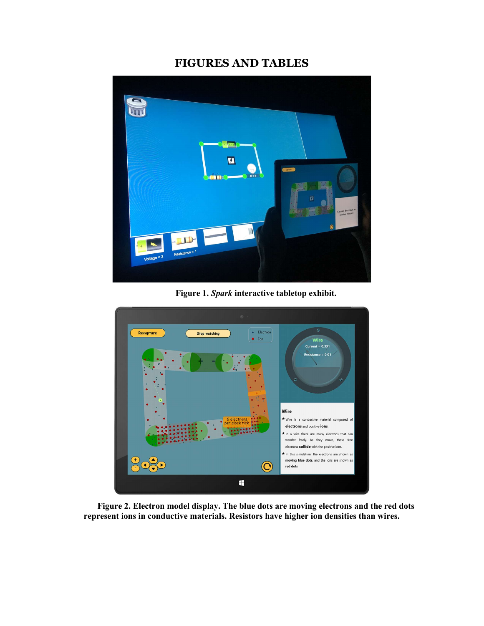## FIGURES AND TABLES



Figure 1. Spark interactive tabletop exhibit.



Figure 2. Electron model display. The blue dots are moving electrons and the red dots represent ions in conductive materials. Resistors have higher ion densities than wires.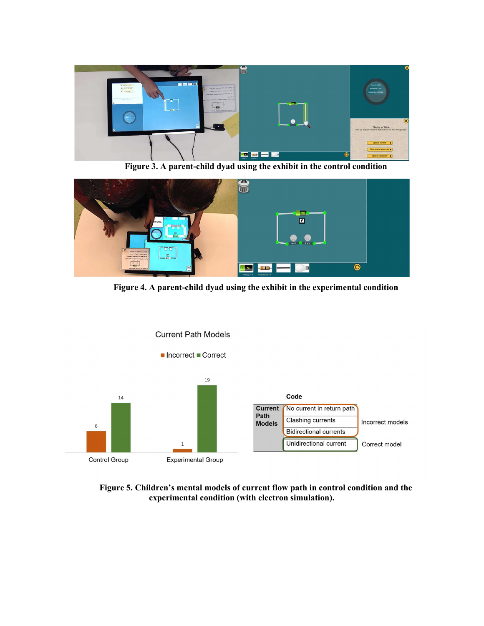

Figure 3. A parent-child dyad using the exhibit in the control condition



Figure 4. A parent-child dyad using the exhibit in the experimental condition



Figure 5. Children's mental models of current flow path in control condition and the experimental condition (with electron simulation).

#### **Current Path Models**